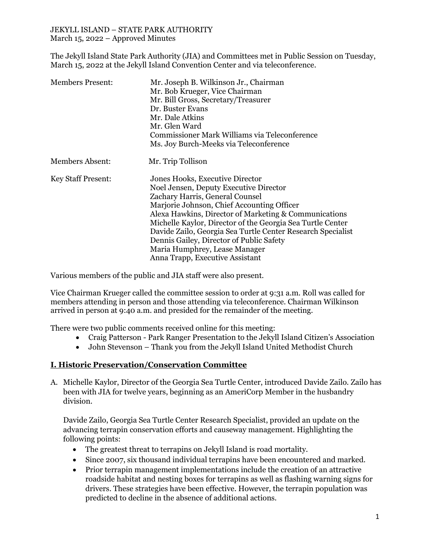#### JEKYLL ISLAND – STATE PARK AUTHORITY March 15, 2022 – Approved Minutes

The Jekyll Island State Park Authority (JIA) and Committees met in Public Session on Tuesday, March 15, 2022 at the Jekyll Island Convention Center and via teleconference.

| <b>Members Present:</b>   | Mr. Joseph B. Wilkinson Jr., Chairman<br>Mr. Bob Krueger, Vice Chairman<br>Mr. Bill Gross, Secretary/Treasurer<br>Dr. Buster Evans<br>Mr. Dale Atkins<br>Mr. Glen Ward<br>Commissioner Mark Williams via Teleconference<br>Ms. Joy Burch-Meeks via Teleconference                                                                                                                                                                                                |
|---------------------------|------------------------------------------------------------------------------------------------------------------------------------------------------------------------------------------------------------------------------------------------------------------------------------------------------------------------------------------------------------------------------------------------------------------------------------------------------------------|
| <b>Members Absent:</b>    | Mr. Trip Tollison                                                                                                                                                                                                                                                                                                                                                                                                                                                |
| <b>Key Staff Present:</b> | Jones Hooks, Executive Director<br>Noel Jensen, Deputy Executive Director<br>Zachary Harris, General Counsel<br>Marjorie Johnson, Chief Accounting Officer<br>Alexa Hawkins, Director of Marketing & Communications<br>Michelle Kaylor, Director of the Georgia Sea Turtle Center<br>Davide Zailo, Georgia Sea Turtle Center Research Specialist<br>Dennis Gailey, Director of Public Safety<br>Maria Humphrey, Lease Manager<br>Anna Trapp, Executive Assistant |

Various members of the public and JIA staff were also present.

Vice Chairman Krueger called the committee session to order at 9:31 a.m. Roll was called for members attending in person and those attending via teleconference. Chairman Wilkinson arrived in person at 9:40 a.m. and presided for the remainder of the meeting.

There were two public comments received online for this meeting:

- Craig Patterson Park Ranger Presentation to the Jekyll Island Citizen's Association
- John Stevenson Thank you from the Jekyll Island United Methodist Church

### **I. Historic Preservation/Conservation Committee**

A. Michelle Kaylor, Director of the Georgia Sea Turtle Center, introduced Davide Zailo. Zailo has been with JIA for twelve years, beginning as an AmeriCorp Member in the husbandry division.

Davide Zailo, Georgia Sea Turtle Center Research Specialist, provided an update on the advancing terrapin conservation efforts and causeway management. Highlighting the following points:

- The greatest threat to terrapins on Jekyll Island is road mortality.
- Since 2007, six thousand individual terrapins have been encountered and marked.
- Prior terrapin management implementations include the creation of an attractive roadside habitat and nesting boxes for terrapins as well as flashing warning signs for drivers. These strategies have been effective. However, the terrapin population was predicted to decline in the absence of additional actions.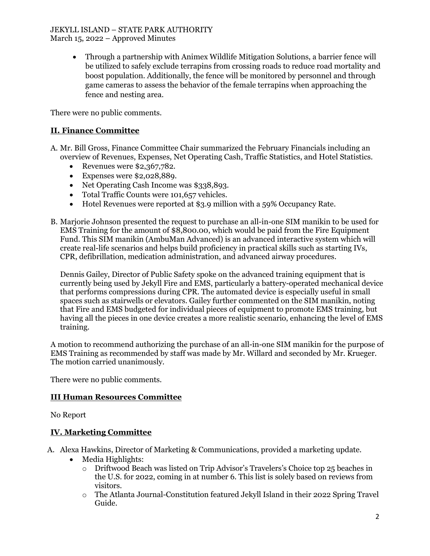#### JEKYLL ISLAND – STATE PARK AUTHORITY March 15, 2022 – Approved Minutes

• Through a partnership with Animex Wildlife Mitigation Solutions, a barrier fence will be utilized to safely exclude terrapins from crossing roads to reduce road mortality and boost population. Additionally, the fence will be monitored by personnel and through game cameras to assess the behavior of the female terrapins when approaching the fence and nesting area.

There were no public comments.

# **II. Finance Committee**

- A. Mr. Bill Gross, Finance Committee Chair summarized the February Financials including an overview of Revenues, Expenses, Net Operating Cash, Traffic Statistics, and Hotel Statistics.
	- Revenues were \$2,367,782.
	- Expenses were \$2,028,889.
	- Net Operating Cash Income was \$338,893.
	- Total Traffic Counts were 101,657 vehicles.
	- Hotel Revenues were reported at \$3.9 million with a 59% Occupancy Rate.
- B. Marjorie Johnson presented the request to purchase an all-in-one SIM manikin to be used for EMS Training for the amount of \$8,800.00, which would be paid from the Fire Equipment Fund. This SIM manikin (AmbuMan Advanced) is an advanced interactive system which will create real-life scenarios and helps build proficiency in practical skills such as starting IVs, CPR, defibrillation, medication administration, and advanced airway procedures.

Dennis Gailey, Director of Public Safety spoke on the advanced training equipment that is currently being used by Jekyll Fire and EMS, particularly a battery-operated mechanical device that performs compressions during CPR. The automated device is especially useful in small spaces such as stairwells or elevators. Gailey further commented on the SIM manikin, noting that Fire and EMS budgeted for individual pieces of equipment to promote EMS training, but having all the pieces in one device creates a more realistic scenario, enhancing the level of EMS training.

A motion to recommend authorizing the purchase of an all-in-one SIM manikin for the purpose of EMS Training as recommended by staff was made by Mr. Willard and seconded by Mr. Krueger. The motion carried unanimously.

There were no public comments.

### **III Human Resources Committee**

No Report

# **IV. Marketing Committee**

A. Alexa Hawkins, Director of Marketing & Communications, provided a marketing update.

- Media Highlights:
	- o Driftwood Beach was listed on Trip Advisor's Travelers's Choice top 25 beaches in the U.S. for 2022, coming in at number 6. This list is solely based on reviews from visitors.
	- o The Atlanta Journal-Constitution featured Jekyll Island in their 2022 Spring Travel Guide.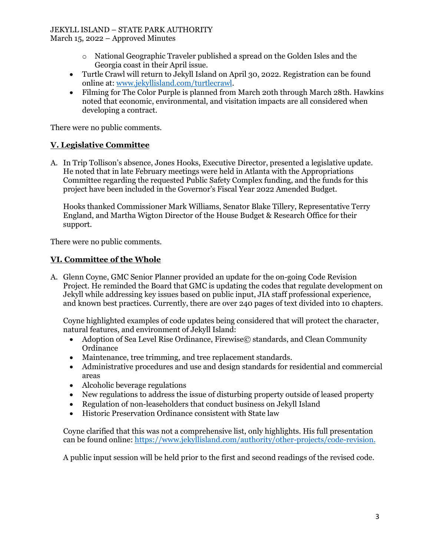# JEKYLL ISLAND – STATE PARK AUTHORITY

March 15, 2022 – Approved Minutes

- o National Geographic Traveler published a spread on the Golden Isles and the Georgia coast in their April issue.
- Turtle Crawl will return to Jekyll Island on April 30, 2022. Registration can be found online at[: www.jekyllisland.com/turtlecrawl.](http://www.jekyllisland.com/turtlecrawl)
- Filming for The Color Purple is planned from March 20th through March 28th. Hawkins noted that economic, environmental, and visitation impacts are all considered when developing a contract.

There were no public comments.

# **V. Legislative Committee**

A. In Trip Tollison's absence, Jones Hooks, Executive Director, presented a legislative update. He noted that in late February meetings were held in Atlanta with the Appropriations Committee regarding the requested Public Safety Complex funding, and the funds for this project have been included in the Governor's Fiscal Year 2022 Amended Budget.

Hooks thanked Commissioner Mark Williams, Senator Blake Tillery, Representative Terry England, and Martha Wigton Director of the House Budget & Research Office for their support.

There were no public comments.

# **VI. Committee of the Whole**

A. Glenn Coyne, GMC Senior Planner provided an update for the on-going Code Revision Project. He reminded the Board that GMC is updating the codes that regulate development on Jekyll while addressing key issues based on public input, JIA staff professional experience, and known best practices. Currently, there are over 240 pages of text divided into 10 chapters.

Coyne highlighted examples of code updates being considered that will protect the character, natural features, and environment of Jekyll Island:

- Adoption of Sea Level Rise Ordinance, Firewise© standards, and Clean Community **Ordinance**
- Maintenance, tree trimming, and tree replacement standards.
- Administrative procedures and use and design standards for residential and commercial areas
- Alcoholic beverage regulations
- New regulations to address the issue of disturbing property outside of leased property
- Regulation of non-leaseholders that conduct business on Jekyll Island
- Historic Preservation Ordinance consistent with State law

Coyne clarified that this was not a comprehensive list, only highlights. His full presentation can be found online: [https://www.jekyllisland.com/authority/other-projects/code-revision.](https://www.jekyllisland.com/authority/other-projects/code-revision/) 

A public input session will be held prior to the first and second readings of the revised code.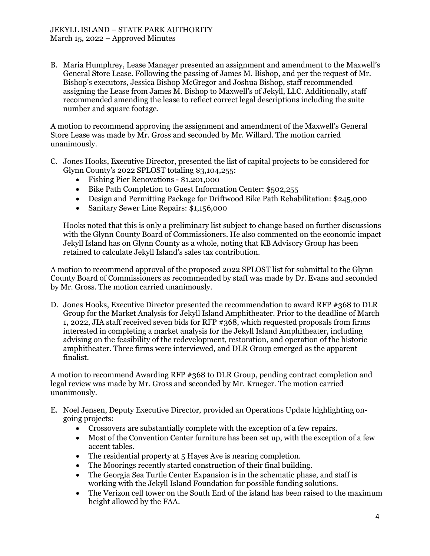B. Maria Humphrey, Lease Manager presented an assignment and amendment to the Maxwell's General Store Lease. Following the passing of James M. Bishop, and per the request of Mr. Bishop's executors, Jessica Bishop McGregor and Joshua Bishop, staff recommended assigning the Lease from James M. Bishop to Maxwell's of Jekyll, LLC. Additionally, staff recommended amending the lease to reflect correct legal descriptions including the suite number and square footage.

A motion to recommend approving the assignment and amendment of the Maxwell's General Store Lease was made by Mr. Gross and seconded by Mr. Willard. The motion carried unanimously.

- C. Jones Hooks, Executive Director, presented the list of capital projects to be considered for Glynn County's 2022 SPLOST totaling \$3,104,255:
	- Fishing Pier Renovations \$1,201,000
	- Bike Path Completion to Guest Information Center: \$502,255
	- Design and Permitting Package for Driftwood Bike Path Rehabilitation: \$245,000
	- Sanitary Sewer Line Repairs: \$1,156,000

Hooks noted that this is only a preliminary list subject to change based on further discussions with the Glynn County Board of Commissioners. He also commented on the economic impact Jekyll Island has on Glynn County as a whole, noting that KB Advisory Group has been retained to calculate Jekyll Island's sales tax contribution.

A motion to recommend approval of the proposed 2022 SPLOST list for submittal to the Glynn County Board of Commissioners as recommended by staff was made by Dr. Evans and seconded by Mr. Gross. The motion carried unanimously.

D. Jones Hooks, Executive Director presented the recommendation to award RFP #368 to DLR Group for the Market Analysis for Jekyll Island Amphitheater. Prior to the deadline of March 1, 2022, JIA staff received seven bids for RFP #368, which requested proposals from firms interested in completing a market analysis for the Jekyll Island Amphitheater, including advising on the feasibility of the redevelopment, restoration, and operation of the historic amphitheater. Three firms were interviewed, and DLR Group emerged as the apparent finalist.

A motion to recommend Awarding RFP #368 to DLR Group, pending contract completion and legal review was made by Mr. Gross and seconded by Mr. Krueger. The motion carried unanimously.

- E. Noel Jensen, Deputy Executive Director, provided an Operations Update highlighting ongoing projects:
	- Crossovers are substantially complete with the exception of a few repairs.
	- Most of the Convention Center furniture has been set up, with the exception of a few accent tables.
	- The residential property at 5 Hayes Ave is nearing completion.
	- The Moorings recently started construction of their final building.
	- The Georgia Sea Turtle Center Expansion is in the schematic phase, and staff is working with the Jekyll Island Foundation for possible funding solutions.
	- The Verizon cell tower on the South End of the island has been raised to the maximum height allowed by the FAA.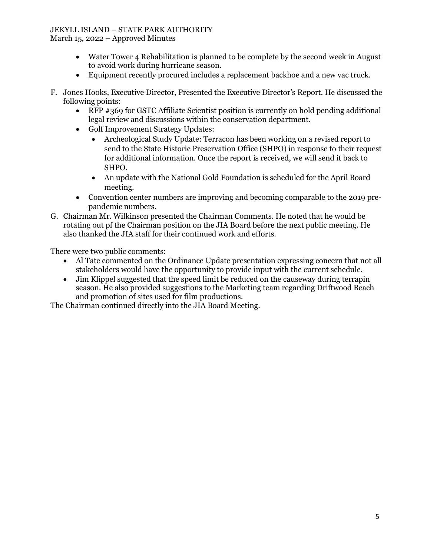### JEKYLL ISLAND – STATE PARK AUTHORITY

March 15, 2022 – Approved Minutes

- Water Tower 4 Rehabilitation is planned to be complete by the second week in August to avoid work during hurricane season.
- Equipment recently procured includes a replacement backhoe and a new vac truck.
- F. Jones Hooks, Executive Director, Presented the Executive Director's Report. He discussed the following points:
	- RFP #369 for GSTC Affiliate Scientist position is currently on hold pending additional legal review and discussions within the conservation department.
	- Golf Improvement Strategy Updates:
		- Archeological Study Update: Terracon has been working on a revised report to send to the State Historic Preservation Office (SHPO) in response to their request for additional information. Once the report is received, we will send it back to SHPO.
		- An update with the National Gold Foundation is scheduled for the April Board meeting.
	- Convention center numbers are improving and becoming comparable to the 2019 prepandemic numbers.
- G. Chairman Mr. Wilkinson presented the Chairman Comments. He noted that he would be rotating out pf the Chairman position on the JIA Board before the next public meeting. He also thanked the JIA staff for their continued work and efforts.

There were two public comments:

- Al Tate commented on the Ordinance Update presentation expressing concern that not all stakeholders would have the opportunity to provide input with the current schedule.
- Jim Klippel suggested that the speed limit be reduced on the causeway during terrapin season. He also provided suggestions to the Marketing team regarding Driftwood Beach and promotion of sites used for film productions.

The Chairman continued directly into the JIA Board Meeting.